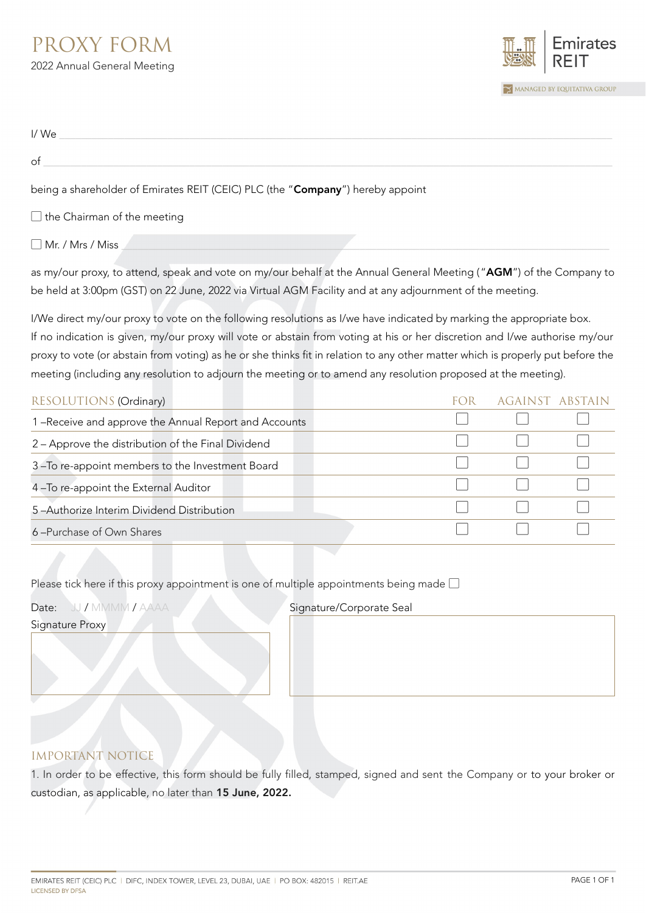## PROXY FORM 2022 Annual General Meeting



| I/We                                                                           |
|--------------------------------------------------------------------------------|
| of                                                                             |
| being a shareholder of Emirates REIT (CEIC) PLC (the "Company") hereby appoint |
| $\Box$ the Chairman of the meeting                                             |

 $\Box$  Mr. / Mrs / Miss

as my/our proxy, to attend, speak and vote on my/our behalf at the Annual General Meeting ("AGM") of the Company to be held at 3:00pm (GST) on 22 June, 2022 via Virtual AGM Facility and at any adjournment of the meeting.

I/We direct my/our proxy to vote on the following resolutions as I/we have indicated by marking the appropriate box. If no indication is given, my/our proxy will vote or abstain from voting at his or her discretion and I/we authorise my/our proxy to vote (or abstain from voting) as he or she thinks fit in relation to any other matter which is properly put before the meeting (including any resolution to adjourn the meeting or to amend any resolution proposed at the meeting).

| <b>RESOLUTIONS (Ordinary)</b>                        | AGAINST ABSTAIN |  |
|------------------------------------------------------|-----------------|--|
| 1-Receive and approve the Annual Report and Accounts |                 |  |
| 2 - Approve the distribution of the Final Dividend   |                 |  |
| 3-To re-appoint members to the Investment Board      |                 |  |
| 4-To re-appoint the External Auditor                 |                 |  |
| 5-Authorize Interim Dividend Distribution            |                 |  |
| 6-Purchase of Own Shares                             |                 |  |

Please tick here if this proxy appointment is one of multiple appointments being made  $\square$ 

Signature Proxy

Date: JJ / MMMM / AAAA Signature/Corporate Seal

## IMPORTANT NOTICE

1. In order to be effective, this form should be fully filled, stamped, signed and sent the Company or to your broker or custodian, as applicable, no later than 15 June, 2022.